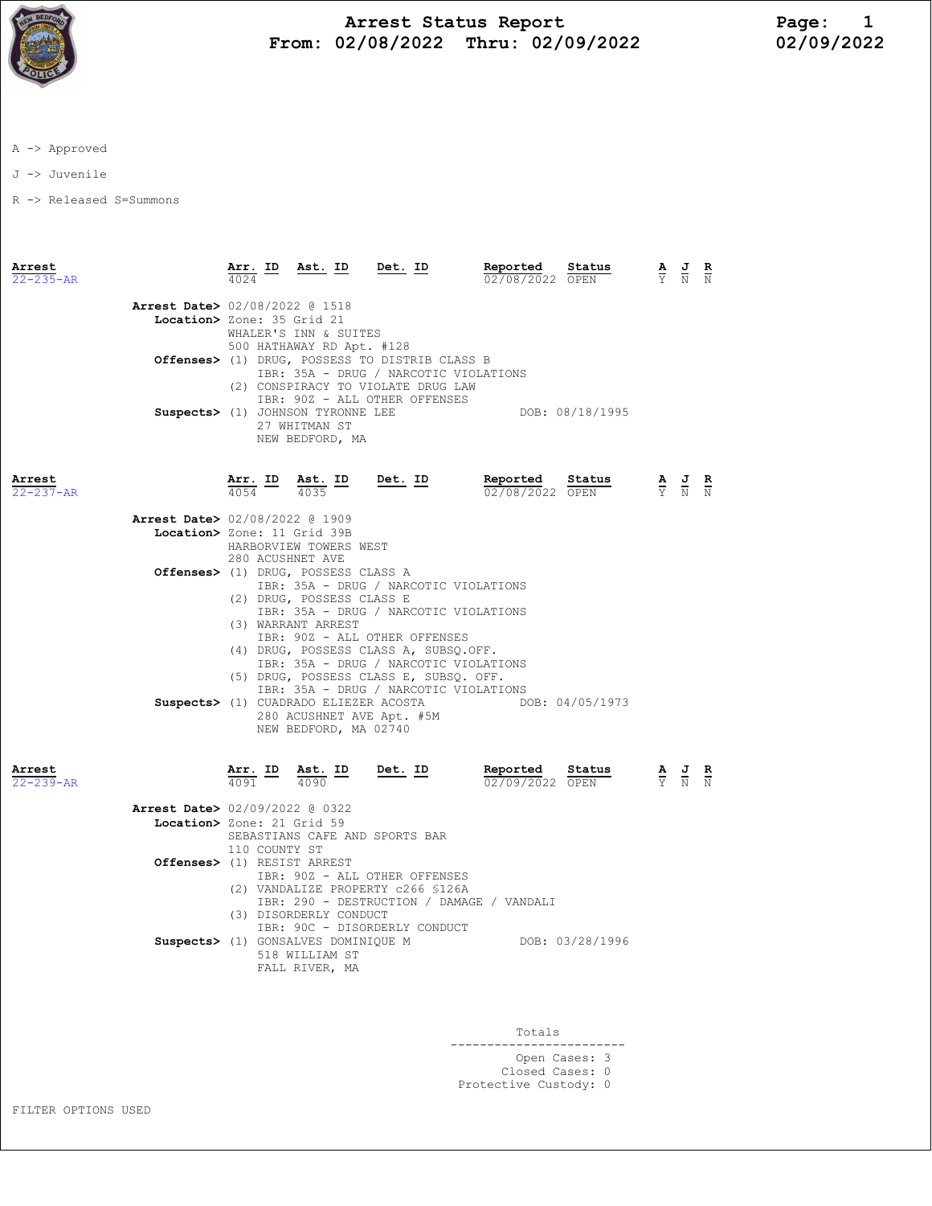

## Arrest Status Report Page: 1 From: 02/08/2022 Thru: 02/09/2022

A -> Approved

J -> Juvenile

R -> Released S=Summons

| Arrest<br>$22 - 235 - AR$ |                                                               | Arr. ID<br>4024  | Ast. ID                                                                                | Det. ID                                                                                                                                                                                                                                                                                                           | Reported<br>02/08/2022 OPEN                                                                                                                                                              | Status          | A | J                                                                                               | $\frac{R}{N}$ |
|---------------------------|---------------------------------------------------------------|------------------|----------------------------------------------------------------------------------------|-------------------------------------------------------------------------------------------------------------------------------------------------------------------------------------------------------------------------------------------------------------------------------------------------------------------|------------------------------------------------------------------------------------------------------------------------------------------------------------------------------------------|-----------------|---|-------------------------------------------------------------------------------------------------|---------------|
|                           | Arrest Date> 02/08/2022 @ 1518<br>Location> Zone: 35 Grid 21  |                  | WHALER'S INN & SUITES<br>500 HATHAWAY RD Apt. #128<br>27 WHITMAN ST<br>NEW BEDFORD, MA | Offenses> (1) DRUG, POSSESS TO DISTRIB CLASS B<br>IBR: 35A - DRUG / NARCOTIC VIOLATIONS<br>(2) CONSPIRACY TO VIOLATE DRUG LAW<br>IBR: 90Z - ALL OTHER OFFENSES<br>Suspects> (1) JOHNSON TYRONNE LEE                                                                                                               |                                                                                                                                                                                          | DOB: 08/18/1995 |   |                                                                                                 |               |
| Arrest<br>$22 - 237 - AR$ |                                                               |                  |                                                                                        |                                                                                                                                                                                                                                                                                                                   | <b><u>Arr. ID</u> Ast. ID Det. ID Reported Status</b><br>$\frac{1}{4035}$ <b>Det. ID Reported Status</b>                                                                                 |                 |   |                                                                                                 |               |
|                           | Arrest Date> 02/08/2022 @ 1909<br>Location> Zone: 11 Grid 39B | 280 ACUSHNET AVE | HARBORVIEW TOWERS WEST                                                                 |                                                                                                                                                                                                                                                                                                                   |                                                                                                                                                                                          |                 |   |                                                                                                 |               |
|                           |                                                               |                  | Offenses> (1) DRUG, POSSESS CLASS A<br>(2) DRUG, POSSESS CLASS E<br>(3) WARRANT ARREST | IBR: 35A - DRUG / NARCOTIC VIOLATIONS<br>IBR: 35A - DRUG / NARCOTIC VIOLATIONS<br>IBR: 90Z - ALL OTHER OFFENSES<br>(4) DRUG, POSSESS CLASS A, SUBSQ.OFF.<br>IBR: 35A - DRUG / NARCOTIC VIOLATIONS<br>(5) DRUG, POSSESS CLASS E, SUBSQ. OFF.<br>IBR: 35A - DRUG / NARCOTIC VIOLATIONS<br>280 ACUSHNET AVE Apt. #5M | Suspects> (1) CUADRADO ELIEZER ACOSTA DOB: 04/05/1973                                                                                                                                    |                 |   |                                                                                                 |               |
| Arrest<br>$22 - 239 - AR$ |                                                               |                  | NEW BEDFORD, MA 02740                                                                  |                                                                                                                                                                                                                                                                                                                   | $\frac{\texttt{Arr.}}{4091}$ $\frac{\texttt{Est.}}{4090}$ $\frac{\texttt{ID}}{2000}$ $\frac{\texttt{Deb.}}{20000}$ $\frac{\texttt{Reported}}{0200902022}$ $\frac{\texttt{Status}}{0PEN}$ |                 |   | $\frac{\mathbf{A}}{\mathbf{Y}}$ $\frac{\mathbf{J}}{\mathbf{N}}$ $\frac{\mathbf{R}}{\mathbf{N}}$ |               |
|                           | Arrest Date> 02/09/2022 @ 0322<br>Location> Zone: 21 Grid 59  | 110 COUNTY ST    |                                                                                        | SEBASTIANS CAFE AND SPORTS BAR                                                                                                                                                                                                                                                                                    |                                                                                                                                                                                          |                 |   |                                                                                                 |               |
|                           | Offenses> (1) RESIST ARREST                                   |                  | (3) DISORDERLY CONDUCT                                                                 | IBR: 90Z - ALL OTHER OFFENSES<br>(2) VANDALIZE PROPERTY c266 \$126A                                                                                                                                                                                                                                               | IBR: 290 - DESTRUCTION / DAMAGE / VANDALI                                                                                                                                                |                 |   |                                                                                                 |               |
|                           |                                                               |                  | 518 WILLIAM ST<br>FALL RIVER, MA                                                       | IBR: 90C - DISORDERLY CONDUCT                                                                                                                                                                                                                                                                                     | Suspects> (1) GONSALVES DOMINIQUE M DOB: 03/28/1996                                                                                                                                      |                 |   |                                                                                                 |               |

 Totals ------------------------ Open Cases: 3 Closed Cases: 0 Protective Custody: 0